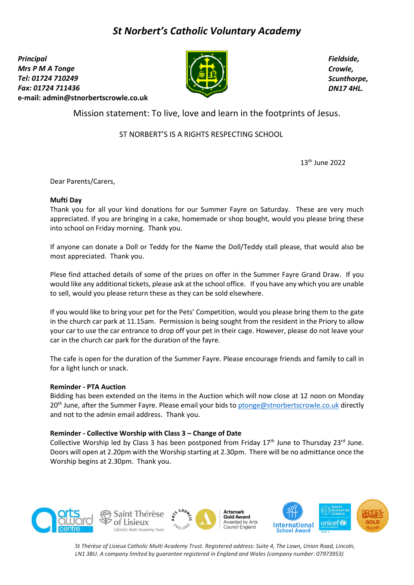# *St Norbert's Catholic Voluntary Academy*

*Principal Mrs P M A Tonge Tel: 01724 710249 Fax: 01724 711436*  **e-mail: [admin@stnorbertscrowle.co.uk](mailto:admin@stnorbertscrowle.co.uk)**



*Fieldside, Crowle, Scunthorpe, DN17 4HL.*

Mission statement: To live, love and learn in the footprints of Jesus.

ST NORBERT'S IS A RIGHTS RESPECTING SCHOOL

13 th June 2022

Dear Parents/Carers,

## **Mufti Day**

Thank you for all your kind donations for our Summer Fayre on Saturday. These are very much appreciated. If you are bringing in a cake, homemade or shop bought, would you please bring these into school on Friday morning. Thank you.

If anyone can donate a Doll or Teddy for the Name the Doll/Teddy stall please, that would also be most appreciated. Thank you.

Plese find attached details of some of the prizes on offer in the Summer Fayre Grand Draw. If you would like any additional tickets, please ask at the school office. If you have any which you are unable to sell, would you please return these as they can be sold elsewhere.

If you would like to bring your pet for the Pets' Competition, would you please bring them to the gate in the church car park at 11.15am. Permission is being sought from the resident in the Priory to allow your car to use the car entrance to drop off your pet in their cage. However, please do not leave your car in the church car park for the duration of the fayre.

The cafe is open for the duration of the Summer Fayre. Please encourage friends and family to call in for a light lunch or snack.

### **Reminder - PTA Auction**

Bidding has been extended on the items in the Auction which will now close at 12 noon on Monday 20<sup>th</sup> June, after the Summer Fayre. Please email your bids t[o ptonge@stnorbertscrowle.co.uk](mailto:ptonge@stnorbertscrowle.co.uk) directly and not to the admin email address. Thank you.

# **Reminder - Collective Worship with Class 3 – Change of Date**

Collective Worship led by Class 3 has been postponed from Friday 17<sup>th</sup> June to Thursday 23<sup>rd</sup> June. Doors will open at 2.20pm with the Worship starting at 2.30pm. There will be no admittance once the Worship begins at 2.30pm. Thank you.



*St Thérèse of Lisieux Catholic Multi Academy Trust. Registered address: Suite 4, The Lawn, Union Road, Lincoln, LN1 3BU. A company limited by guarantee registered in England and Wales (company number: 07973953)*